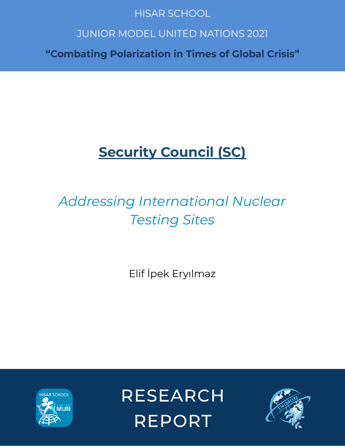# **HISAR SCHOOL**

# **JUNIOR MODEL UNITED NATIONS 2021**

"Combating Polarization in Times of Global Crisis"

# **Security Council (SC)**

# *Addressing International Nuclear Testing Sites*

Elif İpek Eryılmaz



**RESEARCH REPORT** 

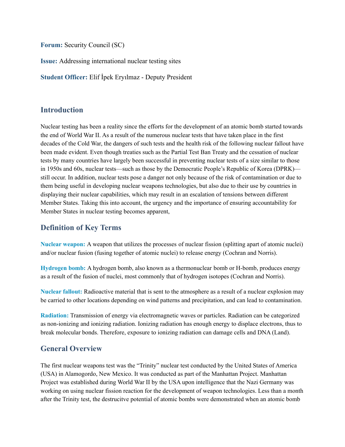**Forum:** Security Council (SC)

**Issue:** Addressing international nuclear testing sites

**Student Officer:** Elif İpek Eryılmaz - Deputy President

## **Introduction**

Nuclear testing has been a reality since the efforts for the development of an atomic bomb started towards the end of World War II. As a result of the numerous nuclear tests that have taken place in the first decades of the Cold War, the dangers of such tests and the health risk of the following nuclear fallout have been made evident. Even though treaties such as the Partial Test Ban Treaty and the cessation of nuclear tests by many countries have largely been successful in preventing nuclear tests of a size similar to those in 1950s and 60s, nuclear tests—such as those by the Democratic People's Republic of Korea (DPRK) still occur. In addition, nuclear tests pose a danger not only because of the risk of contamination or due to them being useful in developing nuclear weapons technologies, but also due to their use by countries in displaying their nuclear capabilities, which may result in an escalation of tensions between different Member States. Taking this into account, the urgency and the importance of ensuring accountability for Member States in nuclear testing becomes apparent,

# **Definition of Key Terms**

**Nuclear weapon:** A weapon that utilizes the processes of nuclear fission (splitting apart of atomic nuclei) and/or nuclear fusion (fusing together of atomic nuclei) to release energy (Cochran and Norris).

**Hydrogen bomb:** A hydrogen bomb, also known as a thermonuclear bomb or H-bomb, produces energy as a result of the fusion of nuclei, most commonly that of hydrogen isotopes (Cochran and Norris).

**Nuclear fallout:** Radioactive material that is sent to the atmosphere as a result of a nuclear explosion may be carried to other locations depending on wind patterns and precipitation, and can lead to contamination.

**Radiation:** Transmission of energy via electromagnetic waves or particles. Radiation can be categorized as non-ionizing and ionizing radiation. Ionizing radiation has enough energy to displace electrons, thus to break molecular bonds. Therefore, exposure to ionizing radiation can damage cells and DNA (Land).

# **General Overview**

The first nuclear weapons test was the "Trinity" nuclear test conducted by the United States of America (USA) in Alamogordo, New Mexico. It was conducted as part of the Manhattan Project. Manhattan Project was established during World War II by the USA upon intelligence that the Nazi Germany was working on using nuclear fission reaction for the development of weapon technologies. Less than a month after the Trinity test, the destrucitve potential of atomic bombs were demonstrated when an atomic bomb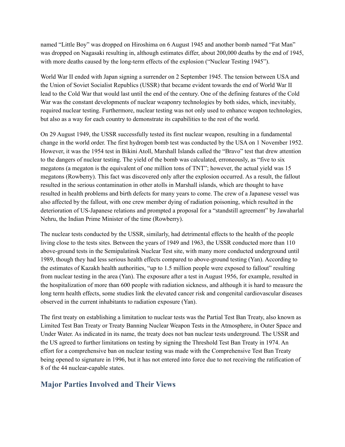named "Little Boy" was dropped on Hiroshima on 6 August 1945 and another bomb named "Fat Man" was dropped on Nagasaki resulting in, although estimates differ, about 200,000 deaths by the end of 1945, with more deaths caused by the long-term effects of the explosion ("Nuclear Testing 1945").

World War II ended with Japan signing a surrender on 2 September 1945. The tension between USA and the Union of Soviet Socialist Republics (USSR) that became evident towards the end of World War II lead to the Cold War that would last until the end of the century. One of the defining features of the Cold War was the constant developments of nuclear weaponry technologies by both sides, which, inevitably, required nuclear testing. Furthermore, nuclear testing was not only used to enhance weapon technologies, but also as a way for each country to demonstrate its capabilities to the rest of the world.

On 29 August 1949, the USSR successfully tested its first nuclear weapon, resulting in a fundamental change in the world order. The first hydrogen bomb test was conducted by the USA on 1 November 1952. However, it was the 1954 test in Bikini Atoll, Marshall Islands called the "Bravo" test that drew attention to the dangers of nuclear testing. The yield of the bomb was calculated, erroneously, as "five to six megatons (a megaton is the equivalent of one million tons of TNT"; however, the actual yield was 15 megatons (Rowberry). This fact was discovered only after the explosion occurred. As a result, the fallout resulted in the serious contamination in other atolls in Marshall islands, which are thought to have resulted in health problems and birth defects for many years to come. The crew of a Japanese vessel was also affected by the fallout, with one crew member dying of radiation poisoning, which resulted in the deterioration of US-Japanese relations and prompted a proposal for a "standstill agreement" by Jawaharlal Nehru, the Indian Prime Minister of the time (Rowberry).

The nuclear tests conducted by the USSR, similarly, had detrimental effects to the health of the people living close to the tests sites. Between the years of 1949 and 1963, the USSR conducted more than 110 above-ground tests in the Semipalatinsk Nuclear Test site, with many more conducted underground until 1989, though they had less serious health effects compared to above-ground testing (Yan). According to the estimates of Kazakh health authorities, "up to 1.5 million people were exposed to fallout" resulting from nuclear testing in the area (Yan). The exposure after a test in August 1956, for example, resulted in the hospitalization of more than 600 people with radiation sickness, and although it is hard to measure the long term health effects, some studies link the elevated cancer risk and congenital cardiovascular diseases observed in the current inhabitants to radiation exposure (Yan).

The first treaty on establishing a limitation to nuclear tests was the Partial Test Ban Treaty, also known as Limited Test Ban Treaty or Treaty Banning Nuclear Weapon Tests in the Atmosphere, in Outer Space and Under Water. As indicated in its name, the treaty does not ban nuclear tests underground. The USSR and the US agreed to further limitations on testing by signing the Threshold Test Ban Treaty in 1974. An effort for a comprehensive ban on nuclear testing was made with the Comprehensive Test Ban Treaty being opened to signature in 1996, but it has not entered into force due to not receiving the ratification of 8 of the 44 nuclear-capable states.

## **Major Parties Involved and Their Views**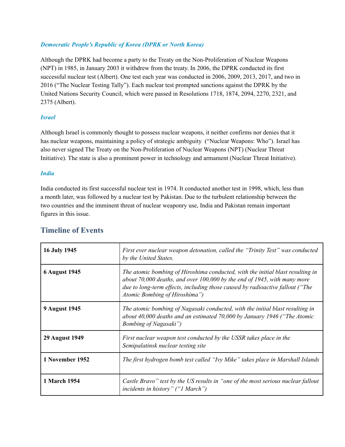#### *Democratic People's Republic of Korea (DPRK or North Korea)*

Although the DPRK had become a party to the Treaty on the Non-Proliferation of Nuclear Weapons (NPT) in 1985, in January 2003 it withdrew from the treaty. In 2006, the DPRK conducted its first successful nuclear test (Albert). One test each year was conducted in 2006, 2009, 2013, 2017, and two in 2016 ("The Nuclear Testing Tally"). Each nuclear test prompted sanctions against the DPRK by the United Nations Security Council, which were passed in Resolutions 1718, 1874, 2094, 2270, 2321, and 2375 (Albert).

#### *Israel*

Although Israel is commonly thought to possess nuclear weapons, it neither confirms nor denies that it has nuclear weapons, maintaining a policy of strategic ambiguity ("Nuclear Weapons: Who"). Israel has also never signed The Treaty on the Non-Proliferation of Nuclear Weapons (NPT) (Nuclear Threat Initiative). The state is also a prominent power in technology and armament (Nuclear Threat Initiative).

#### *India*

India conducted its first successful nuclear test in 1974. It conducted another test in 1998, which, less than a month later, was followed by a nuclear test by Pakistan. Due to the turbulent relationship between the two countries and the imminent threat of nuclear weaponry use, India and Pakistan remain important figures in this issue.

| <b>16 July 1945</b>   | First ever nuclear weapon detonation, called the "Trinity Test" was conducted<br>by the United States.                                                                                                                                                                         |
|-----------------------|--------------------------------------------------------------------------------------------------------------------------------------------------------------------------------------------------------------------------------------------------------------------------------|
| <b>6 August 1945</b>  | The atomic bombing of Hiroshima conducted, with the initial blast resulting in<br>about 70,000 deaths, and over $100,000$ by the end of 1945, with many more<br>due to long-term effects, including those caused by radioactive fallout ("The<br>Atomic Bombing of Hiroshima") |
| <b>9 August 1945</b>  | The atomic bombing of Nagasaki conducted, with the initial blast resulting in<br>about 40,000 deaths and an estimated 70,000 by January 1946 ("The Atomic<br><b>Bombing of Nagasaki</b> ")                                                                                     |
| <b>29 August 1949</b> | First nuclear weapon test conducted by the USSR takes place in the<br>Semipalatinsk nuclear testing site                                                                                                                                                                       |
| 1 November 1952       | The first hydrogen bomb test called "Ivy Mike" takes place in Marshall Islands                                                                                                                                                                                                 |
| 1 March 1954          | Castle Bravo" test by the US results in "one of the most serious nuclear fallout<br><i>incidents in history</i> " ("1 March")                                                                                                                                                  |

#### **Timeline of Events**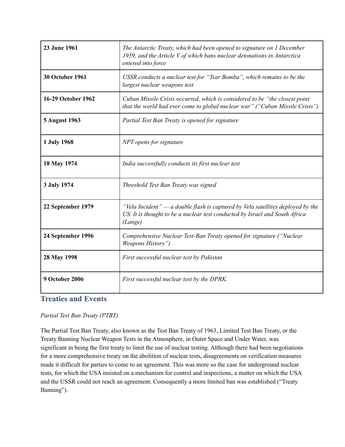| 23 June 1961           | The Antarctic Treaty, which had been opened to signature on 1 December<br>1959, and the Article V of which bans nuclear detonations in Antarctica<br>entered into force    |
|------------------------|----------------------------------------------------------------------------------------------------------------------------------------------------------------------------|
| <b>30 October 1961</b> | USSR conducts a nuclear test for "Tsar Bomba", which remains to be the<br>largest nuclear weapons test                                                                     |
| 16-29 October 1962     | Cuban Missile Crisis occurred, which is considered to be "the closest point"<br>that the world had ever come to global nuclear war" ("Cuban Missile Crisis")               |
| <b>5 August 1963</b>   | Partial Test Ban Treaty is opened for signature                                                                                                                            |
| 1 July 1968            | NPT opens for signature                                                                                                                                                    |
| 18 May 1974            | India successfully conducts its first nuclear test                                                                                                                         |
| 3 July 1974            | Threshold Test Ban Treaty was signed                                                                                                                                       |
| 22 September 1979      | "Vela Incident" $-a$ double flash is captured by Vela satellites deployed by the<br>US. It is thought to be a nuclear test conducted by Israel and South Africa<br>(Lange) |
| 24 September 1996      | Comprehensive Nuclear Test-Ban Treaty opened for signature ("Nuclear<br>Weapons History")                                                                                  |
| 28 May 1998            | First successful nuclear test by Pakistan                                                                                                                                  |
| <b>9 October 2006</b>  | First successful nuclear test by the DPRK.                                                                                                                                 |

# **Treaties and Events**

#### *Partial Test Ban Treaty (PTBT)*

The Partial Test Ban Treaty, also known as the Test Ban Treaty of 1963, Limited Test Ban Treaty, or the Treaty Banning Nuclear Weapon Tests in the Atmosphere, in Outer Space and Under Water, was significant in being the first treaty to limit the use of nuclear testing. Although there had been negotiations for a more comprehensive treaty on the abolition of nuclear tests, disagreements on verification measures made it difficult for parties to come to an agreement. This was more so the case for underground nuclear tests, for which the USA insisted on a mechanism for control and inspections, a matter on which the USA and the USSR could not reach an agreement. Consequently a more limited ban was established ("Treaty Banning").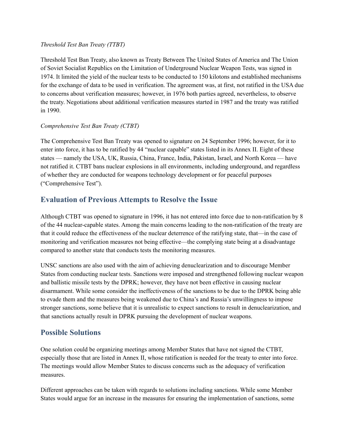#### *Threshold Test Ban Treaty (TTBT)*

Threshold Test Ban Treaty, also known as Treaty Between The United States of America and The Union of Soviet Socialist Republics on the Limitation of Underground Nuclear Weapon Tests, was signed in 1974. It limited the yield of the nuclear tests to be conducted to 150 kilotons and established mechanisms for the exchange of data to be used in verification. The agreement was, at first, not ratified in the USA due to concerns about verification measures; however, in 1976 both parties agreed, nevertheless, to observe the treaty. Negotiations about additional verification measures started in 1987 and the treaty was ratified in 1990.

#### *Comprehensive Test Ban Treaty (CTBT)*

The Comprehensive Test Ban Treaty was opened to signature on 24 September 1996; however, for it to enter into force, it has to be ratified by 44 "nuclear capable" states listed in its Annex II. Eight of these states — namely the USA, UK, Russia, China, France, India, Pakistan, Israel, and North Korea — have not ratified it. CTBT bans nuclear explosions in all environments, including underground, and regardless of whether they are conducted for weapons technology development or for peaceful purposes ("Comprehensive Test").

# **Evaluation of Previous Attempts to Resolve the Issue**

Although CTBT was opened to signature in 1996, it has not entered into force due to non-ratification by 8 of the 44 nuclear-capable states. Among the main concerns leading to the non-ratification of the treaty are that it could reduce the effectiveness of the nuclear deterrence of the ratifying state, that—in the case of monitoring and verification measures not being effective—the complying state being at a disadvantage compared to another state that conducts tests the monitoring measures.

UNSC sanctions are also used with the aim of achieving denuclearization and to discourage Member States from conducting nuclear tests. Sanctions were imposed and strengthened following nuclear weapon and ballistic missile tests by the DPRK; however, they have not been effective in causing nuclear disarmament. While some consider the ineffectiveness of the sanctions to be due to the DPRK being able to evade them and the measures being weakened due to China's and Russia's unwillingness to impose stronger sanctions, some believe that it is unrealistic to expect sanctions to result in denuclearization, and that sanctions actually result in DPRK pursuing the development of nuclear weapons.

## **Possible Solutions**

One solution could be organizing meetings among Member States that have not signed the CTBT, especially those that are listed in Annex II, whose ratification is needed for the treaty to enter into force. The meetings would allow Member States to discuss concerns such as the adequacy of verification measures.

Different approaches can be taken with regards to solutions including sanctions. While some Member States would argue for an increase in the measures for ensuring the implementation of sanctions, some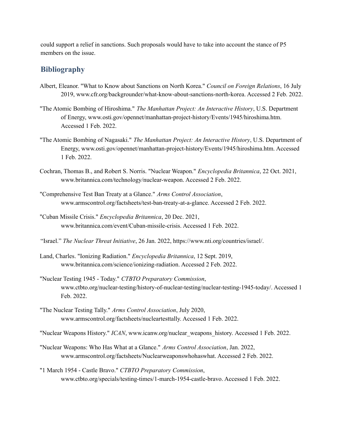could support a relief in sanctions. Such proposals would have to take into account the stance of P5 members on the issue.

### **Bibliography**

- Albert, Eleanor. "What to Know about Sanctions on North Korea." *Council on Foreign Relations*, 16 July 2019, www.cfr.org/backgrounder/what-know-about-sanctions-north-korea. Accessed 2 Feb. 2022.
- "The Atomic Bombing of Hiroshima." *The Manhattan Project: An Interactive History*, U.S. Department of Energy, www.osti.gov/opennet/manhattan-project-history/Events/1945/hiroshima.htm. Accessed 1 Feb. 2022.
- "The Atomic Bombing of Nagasaki." *The Manhattan Project: An Interactive History*, U.S. Department of Energy, www.osti.gov/opennet/manhattan-project-history/Events/1945/hiroshima.htm. Accessed 1 Feb. 2022.
- Cochran, Thomas B., and Robert S. Norris. "Nuclear Weapon." *Encyclopedia Britannica*, 22 Oct. 2021, www.britannica.com/technology/nuclear-weapon. Accessed 2 Feb. 2022.
- "Comprehensive Test Ban Treaty at a Glance." *Arms Control Association*, www.armscontrol.org/factsheets/test-ban-treaty-at-a-glance. Accessed 2 Feb. 2022.
- "Cuban Missile Crisis." *Encyclopedia Britannica*, 20 Dec. 2021, www.britannica.com/event/Cuban-missile-crisis. Accessed 1 Feb. 2022.
- "Israel." *The Nuclear Threat Initiative*, 26 Jan. 2022, https://www.nti.org/countries/israel/.
- Land, Charles. "Ionizing Radiation." *Encyclopedia Britannica*, 12 Sept. 2019, www.britannica.com/science/ionizing-radiation. Accessed 2 Feb. 2022.
- "Nuclear Testing 1945 Today." *CTBTO Preparatory Commission*, www.ctbto.org/nuclear-testing/history-of-nuclear-testing/nuclear-testing-1945-today/. Accessed 1 Feb. 2022.
- "The Nuclear Testing Tally." *Arms Control Association*, July 2020, www.armscontrol.org/factsheets/nucleartesttally. Accessed 1 Feb. 2022.

"Nuclear Weapons History." *ICAN*, www.icanw.org/nuclear\_weapons\_history. Accessed 1 Feb. 2022.

- "Nuclear Weapons: Who Has What at a Glance." *Arms Control Association*, Jan. 2022, www.armscontrol.org/factsheets/Nuclearweaponswhohaswhat. Accessed 2 Feb. 2022.
- "1 March 1954 Castle Bravo." *CTBTO Preparatory Commission*, www.ctbto.org/specials/testing-times/1-march-1954-castle-bravo. Accessed 1 Feb. 2022.